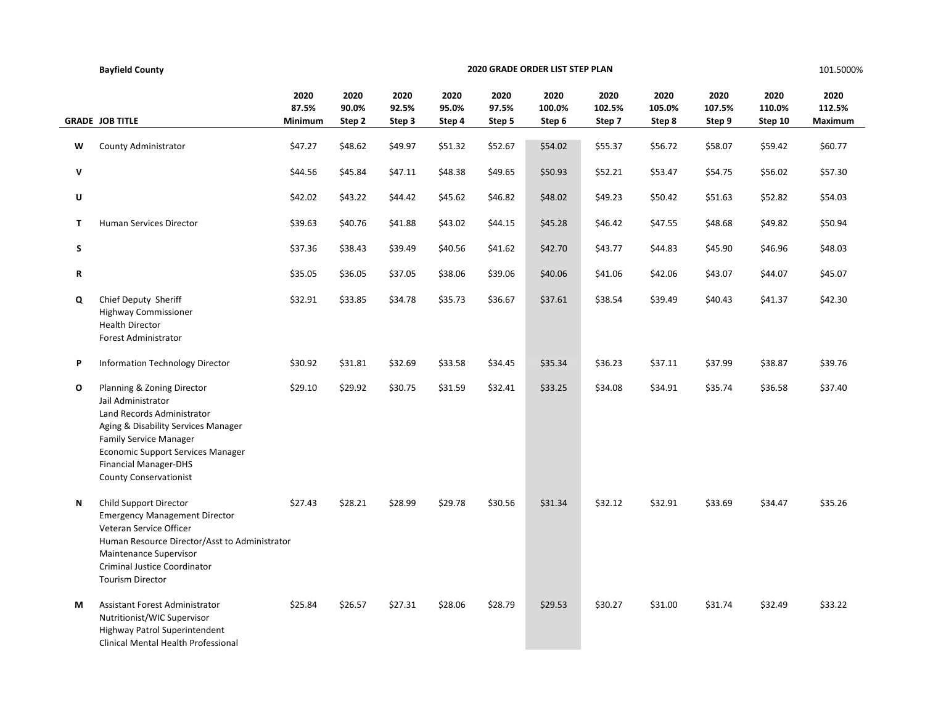|   | <b>Bayfield County</b>                                                                                                                                                                                                                                              | 2020 GRADE ORDER LIST STEP PLAN |                         |                         |                         |                         |                          |                          |                          | 101.5000%                |                           |                           |
|---|---------------------------------------------------------------------------------------------------------------------------------------------------------------------------------------------------------------------------------------------------------------------|---------------------------------|-------------------------|-------------------------|-------------------------|-------------------------|--------------------------|--------------------------|--------------------------|--------------------------|---------------------------|---------------------------|
|   | <b>GRADE JOB TITLE</b>                                                                                                                                                                                                                                              | 2020<br>87.5%<br>Minimum        | 2020<br>90.0%<br>Step 2 | 2020<br>92.5%<br>Step 3 | 2020<br>95.0%<br>Step 4 | 2020<br>97.5%<br>Step 5 | 2020<br>100.0%<br>Step 6 | 2020<br>102.5%<br>Step 7 | 2020<br>105.0%<br>Step 8 | 2020<br>107.5%<br>Step 9 | 2020<br>110.0%<br>Step 10 | 2020<br>112.5%<br>Maximum |
| w | County Administrator                                                                                                                                                                                                                                                | \$47.27                         | \$48.62                 | \$49.97                 | \$51.32                 | \$52.67                 | \$54.02                  | \$55.37                  | \$56.72                  | \$58.07                  | \$59.42                   | \$60.77                   |
| V |                                                                                                                                                                                                                                                                     | \$44.56                         | \$45.84                 | \$47.11                 | \$48.38                 | \$49.65                 | \$50.93                  | \$52.21                  | \$53.47                  | \$54.75                  | \$56.02                   | \$57.30                   |
| U |                                                                                                                                                                                                                                                                     | \$42.02                         | \$43.22                 | \$44.42                 | \$45.62                 | \$46.82                 | \$48.02                  | \$49.23                  | \$50.42                  | \$51.63                  | \$52.82                   | \$54.03                   |
| T | Human Services Director                                                                                                                                                                                                                                             | \$39.63                         | \$40.76                 | \$41.88                 | \$43.02                 | \$44.15                 | \$45.28                  | \$46.42                  | \$47.55                  | \$48.68                  | \$49.82                   | \$50.94                   |
| S |                                                                                                                                                                                                                                                                     | \$37.36                         | \$38.43                 | \$39.49                 | \$40.56                 | \$41.62                 | \$42.70                  | \$43.77                  | \$44.83                  | \$45.90                  | \$46.96                   | \$48.03                   |
| R |                                                                                                                                                                                                                                                                     | \$35.05                         | \$36.05                 | \$37.05                 | \$38.06                 | \$39.06                 | \$40.06                  | \$41.06                  | \$42.06                  | \$43.07                  | \$44.07                   | \$45.07                   |
| Q | Chief Deputy Sheriff<br><b>Highway Commissioner</b><br><b>Health Director</b><br><b>Forest Administrator</b>                                                                                                                                                        | \$32.91                         | \$33.85                 | \$34.78                 | \$35.73                 | \$36.67                 | \$37.61                  | \$38.54                  | \$39.49                  | \$40.43                  | \$41.37                   | \$42.30                   |
| P | <b>Information Technology Director</b>                                                                                                                                                                                                                              | \$30.92                         | \$31.81                 | \$32.69                 | \$33.58                 | \$34.45                 | \$35.34                  | \$36.23                  | \$37.11                  | \$37.99                  | \$38.87                   | \$39.76                   |
| O | Planning & Zoning Director<br>Jail Administrator<br>Land Records Administrator<br>Aging & Disability Services Manager<br><b>Family Service Manager</b><br><b>Economic Support Services Manager</b><br><b>Financial Manager-DHS</b><br><b>County Conservationist</b> | \$29.10                         | \$29.92                 | \$30.75                 | \$31.59                 | \$32.41                 | \$33.25                  | \$34.08                  | \$34.91                  | \$35.74                  | \$36.58                   | \$37.40                   |
| Ν | Child Support Director<br><b>Emergency Management Director</b><br>Veteran Service Officer<br>Human Resource Director/Asst to Administrator<br>Maintenance Supervisor<br>Criminal Justice Coordinator<br><b>Tourism Director</b>                                     | \$27.43                         | \$28.21                 | \$28.99                 | \$29.78                 | \$30.56                 | \$31.34                  | \$32.12                  | \$32.91                  | \$33.69                  | \$34.47                   | \$35.26                   |
| М | Assistant Forest Administrator<br>Nutritionist/WIC Supervisor<br>Highway Patrol Superintendent<br>Clinical Mental Health Professional                                                                                                                               | \$25.84                         | \$26.57                 | \$27.31                 | \$28.06                 | \$28.79                 | \$29.53                  | \$30.27                  | \$31.00                  | \$31.74                  | \$32.49                   | \$33.22                   |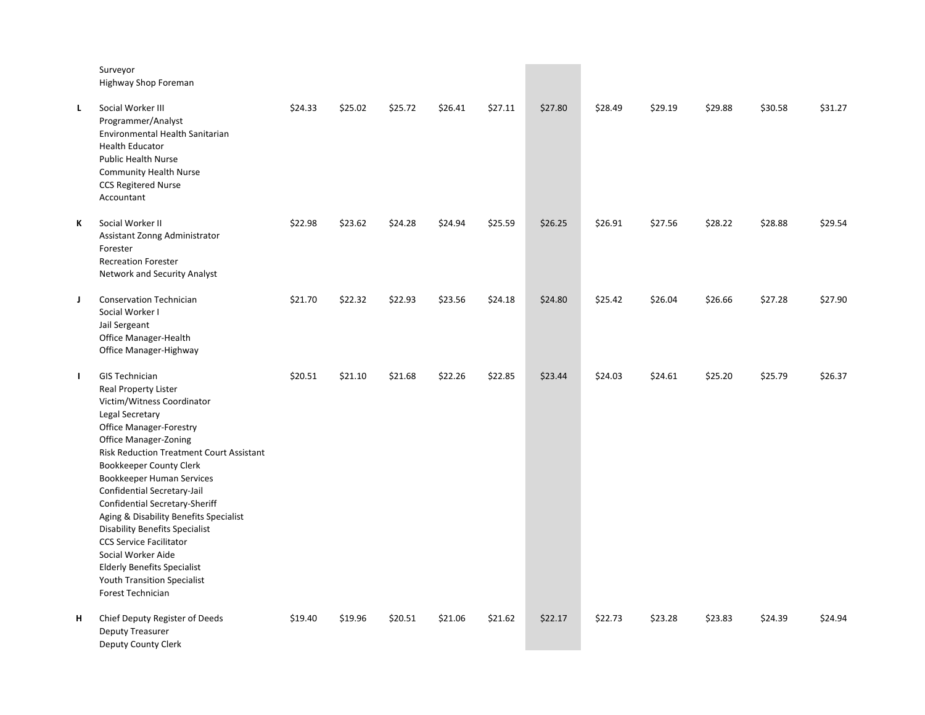|    | Surveyor<br>Highway Shop Foreman                                                                                                                                                                                                                                                                                                                                                                                                                                                                                                                                                                |         |         |         |         |         |         |         |         |         |         |         |
|----|-------------------------------------------------------------------------------------------------------------------------------------------------------------------------------------------------------------------------------------------------------------------------------------------------------------------------------------------------------------------------------------------------------------------------------------------------------------------------------------------------------------------------------------------------------------------------------------------------|---------|---------|---------|---------|---------|---------|---------|---------|---------|---------|---------|
| L. | Social Worker III<br>Programmer/Analyst<br>Environmental Health Sanitarian<br><b>Health Educator</b><br><b>Public Health Nurse</b><br><b>Community Health Nurse</b><br><b>CCS Regitered Nurse</b><br>Accountant                                                                                                                                                                                                                                                                                                                                                                                 | \$24.33 | \$25.02 | \$25.72 | \$26.41 | \$27.11 | \$27.80 | \$28.49 | \$29.19 | \$29.88 | \$30.58 | \$31.27 |
| К  | Social Worker II<br>Assistant Zonng Administrator<br>Forester<br><b>Recreation Forester</b><br>Network and Security Analyst                                                                                                                                                                                                                                                                                                                                                                                                                                                                     | \$22.98 | \$23.62 | \$24.28 | \$24.94 | \$25.59 | \$26.25 | \$26.91 | \$27.56 | \$28.22 | \$28.88 | \$29.54 |
| J. | <b>Conservation Technician</b><br>Social Worker I<br>Jail Sergeant<br>Office Manager-Health<br>Office Manager-Highway                                                                                                                                                                                                                                                                                                                                                                                                                                                                           | \$21.70 | \$22.32 | \$22.93 | \$23.56 | \$24.18 | \$24.80 | \$25.42 | \$26.04 | \$26.66 | \$27.28 | \$27.90 |
| Τ. | <b>GIS Technician</b><br><b>Real Property Lister</b><br>Victim/Witness Coordinator<br>Legal Secretary<br><b>Office Manager-Forestry</b><br><b>Office Manager-Zoning</b><br><b>Risk Reduction Treatment Court Assistant</b><br><b>Bookkeeper County Clerk</b><br>Bookkeeper Human Services<br>Confidential Secretary-Jail<br>Confidential Secretary-Sheriff<br>Aging & Disability Benefits Specialist<br><b>Disability Benefits Specialist</b><br><b>CCS Service Facilitator</b><br>Social Worker Aide<br><b>Elderly Benefits Specialist</b><br>Youth Transition Specialist<br>Forest Technician | \$20.51 | \$21.10 | \$21.68 | \$22.26 | \$22.85 | \$23.44 | \$24.03 | \$24.61 | \$25.20 | \$25.79 | \$26.37 |
| н  | Chief Deputy Register of Deeds<br>Deputy Treasurer<br>Deputy County Clerk                                                                                                                                                                                                                                                                                                                                                                                                                                                                                                                       | \$19.40 | \$19.96 | \$20.51 | \$21.06 | \$21.62 | \$22.17 | \$22.73 | \$23.28 | \$23.83 | \$24.39 | \$24.94 |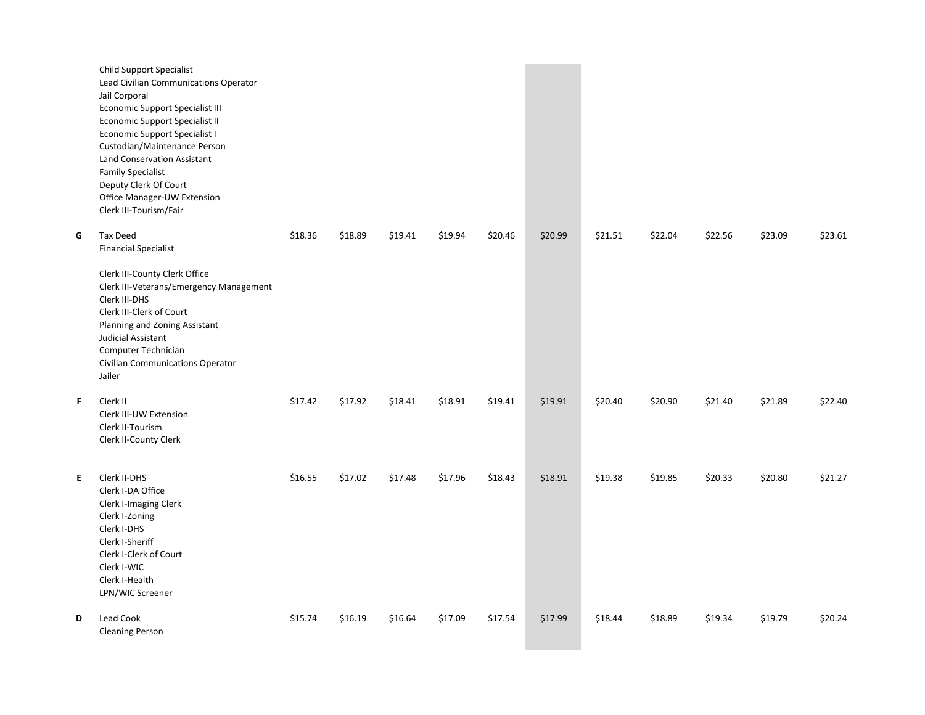|    | <b>Child Support Specialist</b><br>Lead Civilian Communications Operator<br>Jail Corporal<br><b>Economic Support Specialist III</b><br><b>Economic Support Specialist II</b><br>Economic Support Specialist I<br>Custodian/Maintenance Person<br>Land Conservation Assistant<br><b>Family Specialist</b><br>Deputy Clerk Of Court<br>Office Manager-UW Extension<br>Clerk III-Tourism/Fair |         |         |         |         |         |         |         |         |         |         |         |
|----|--------------------------------------------------------------------------------------------------------------------------------------------------------------------------------------------------------------------------------------------------------------------------------------------------------------------------------------------------------------------------------------------|---------|---------|---------|---------|---------|---------|---------|---------|---------|---------|---------|
| G  | Tax Deed<br><b>Financial Specialist</b><br>Clerk III-County Clerk Office<br>Clerk III-Veterans/Emergency Management<br>Clerk III-DHS<br>Clerk III-Clerk of Court<br>Planning and Zoning Assistant<br>Judicial Assistant<br>Computer Technician<br>Civilian Communications Operator<br>Jailer                                                                                               | \$18.36 | \$18.89 | \$19.41 | \$19.94 | \$20.46 | \$20.99 | \$21.51 | \$22.04 | \$22.56 | \$23.09 | \$23.61 |
| F  | Clerk II<br>Clerk III-UW Extension<br>Clerk II-Tourism<br>Clerk II-County Clerk                                                                                                                                                                                                                                                                                                            | \$17.42 | \$17.92 | \$18.41 | \$18.91 | \$19.41 | \$19.91 | \$20.40 | \$20.90 | \$21.40 | \$21.89 | \$22.40 |
| E. | Clerk II-DHS<br>Clerk I-DA Office<br>Clerk I-Imaging Clerk<br>Clerk I-Zoning<br>Clerk I-DHS<br>Clerk I-Sheriff<br>Clerk I-Clerk of Court<br>Clerk I-WIC<br>Clerk I-Health<br>LPN/WIC Screener                                                                                                                                                                                              | \$16.55 | \$17.02 | \$17.48 | \$17.96 | \$18.43 | \$18.91 | \$19.38 | \$19.85 | \$20.33 | \$20.80 | \$21.27 |
| D  | Lead Cook<br><b>Cleaning Person</b>                                                                                                                                                                                                                                                                                                                                                        | \$15.74 | \$16.19 | \$16.64 | \$17.09 | \$17.54 | \$17.99 | \$18.44 | \$18.89 | \$19.34 | \$19.79 | \$20.24 |